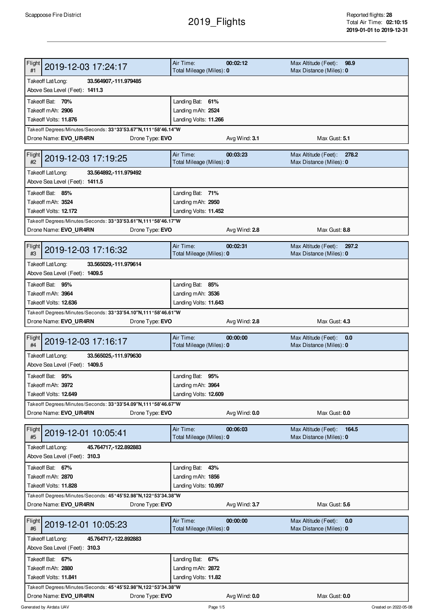## 2019\_Flights

| Flight<br>2019-12-03 17:24:17<br>#1                                                                              | Air Time:<br>Total Mileage (Miles): 0      | 00:02:12      | Max Altitude (Feet):<br>98.9<br>Max Distance (Miles): 0  |  |  |
|------------------------------------------------------------------------------------------------------------------|--------------------------------------------|---------------|----------------------------------------------------------|--|--|
| Takeoff Lat/Long:<br>33.564907, 111.979485<br>Above Sea Level (Feet): 1411.3                                     |                                            |               |                                                          |  |  |
|                                                                                                                  |                                            |               |                                                          |  |  |
| Takeoff Bat: 70%<br>Takeoff mAh: 2906                                                                            | Landing Bat: 61%                           |               |                                                          |  |  |
| Takeoff Volts: 11.876                                                                                            | Landing mAh: 2524                          |               |                                                          |  |  |
| Takeoff Degrees/Minutes/Seconds: 33°33'53.67"N,111°58'46.14"W                                                    | Landing Volts: 11.266                      |               |                                                          |  |  |
| Drone Name: EVO_UR4RN<br>Drone Type: EVO                                                                         |                                            | Avg Wind: 3.1 | Max Gust: 5.1                                            |  |  |
| <b>Flight</b><br>2019-12-03 17:19:25<br>#2                                                                       | Air Time:<br>Total Mileage (Miles): 0      | 00:03:23      | Max Altitude (Feet):<br>278.2<br>Max Distance (Miles): 0 |  |  |
| Takeoff Lat/Long:<br>33.564892, -111.979492<br>Above Sea Level (Feet): 1411.5                                    |                                            |               |                                                          |  |  |
| Takeoff Bat: 85%                                                                                                 | Landing Bat: 71%                           |               |                                                          |  |  |
| Takeoff mAh: 3524                                                                                                | Landing mAh: 2950                          |               |                                                          |  |  |
| Takeoff Volts: 12.172                                                                                            | Landing Volts: 11.452                      |               |                                                          |  |  |
| Takeoff Degrees/Minutes/Seconds: 33°33'53.61"N,111°58'46.17"W                                                    |                                            |               |                                                          |  |  |
| Drone Name: EVO UR4RN<br>Drone Type: EVO                                                                         |                                            | Avg Wind: 2.8 | Max Gust: 8.8                                            |  |  |
|                                                                                                                  |                                            |               |                                                          |  |  |
| Flight<br>2019-12-03 17:16:32<br>#3                                                                              | Air Time:<br>Total Mileage (Miles): 0      | 00:02:31      | Max Altitude (Feet):<br>297.2<br>Max Distance (Miles): 0 |  |  |
| Takeoff Lat/Long:<br>33.565029, 111.979614                                                                       |                                            |               |                                                          |  |  |
| Above Sea Level (Feet): 1409.5                                                                                   |                                            |               |                                                          |  |  |
| Takeoff Bat: 95%                                                                                                 | Landing Bat: 85%                           |               |                                                          |  |  |
| Takeoff mAh: 3964                                                                                                | Landing mAh: 3536                          |               |                                                          |  |  |
| Takeoff Volts: 12.636                                                                                            | Landing Volts: 11.643                      |               |                                                          |  |  |
| Takeoff Degrees/Minutes/Seconds: 33°33'54.10"N,111°58'46.61"W                                                    |                                            |               |                                                          |  |  |
| Drone Name: EVO_UR4RN<br>Drone Type: <b>EVO</b>                                                                  |                                            | Avg Wind: 2.8 | Max Gust: 4.3                                            |  |  |
| Flight<br>2019-12-03 17:16:17<br>#4                                                                              | Air Time:<br>Total Mileage (Miles): 0      | 00:00:00      | Max Altitude (Feet):<br>0.0<br>Max Distance (Miles): 0   |  |  |
| Takeoff Lat/Long:<br>33.565025, 111.979630<br>Above Sea Level (Feet): 1409.5                                     |                                            |               |                                                          |  |  |
|                                                                                                                  |                                            |               |                                                          |  |  |
| Takeoff Bat: 95%<br>Takeoff mAh: 3972                                                                            | Landing Bat: 95%                           |               |                                                          |  |  |
| Takeoff Volts: 12.649                                                                                            | Landing mAh: 3964<br>Landing Volts: 12.609 |               |                                                          |  |  |
| Takeoff Degrees/Minutes/Seconds: 33°33'54.09"N,111°58'46.67"W                                                    |                                            |               |                                                          |  |  |
| Drone Name: EVO_UR4RN<br>Drone Type: EVO                                                                         |                                            | Avg Wind: 0.0 | Max Gust: 0.0                                            |  |  |
|                                                                                                                  |                                            |               |                                                          |  |  |
| Flight<br>2019-12-01 10:05:41<br>#5                                                                              | Air Time:                                  | 00:06:03      |                                                          |  |  |
|                                                                                                                  | Total Mileage (Miles): 0                   |               | Max Altitude (Feet):<br>164.5<br>Max Distance (Miles): 0 |  |  |
| Takeoff Lat/Long:<br>45.764717, 122.892883<br>Above Sea Level (Feet): 310.3                                      |                                            |               |                                                          |  |  |
|                                                                                                                  |                                            |               |                                                          |  |  |
| Takeoff Bat: 67%                                                                                                 | Landing Bat: 43%                           |               |                                                          |  |  |
| Takeoff mAh: 2870<br>Takeoff Volts: 11.828                                                                       | Landing mAh: 1856                          |               |                                                          |  |  |
|                                                                                                                  | Landing Volts: 10.997                      |               |                                                          |  |  |
| Takeoff Degrees/Minutes/Seconds: 45°45'52.98"N,122°53'34.38"W<br>Drone Name: EVO UR4RN<br>Drone Type: <b>EVO</b> |                                            | Avg Wind: 3.7 | Max Gust: 5.6                                            |  |  |
| Flight<br>2019-12-01 10:05:23<br>#6                                                                              | Air Time:<br>Total Mileage (Miles): 0      | 00:00:00      | Max Altitude (Feet):<br>0.0<br>Max Distance (Miles): 0   |  |  |
| Takeoff Lat/Long:<br>45.764717, 122.892883                                                                       |                                            |               |                                                          |  |  |
| Above Sea Level (Feet): 310.3                                                                                    |                                            |               |                                                          |  |  |
| Takeoff Bat: 67%                                                                                                 | Landing Bat: 67%                           |               |                                                          |  |  |
| Takeoff mAh: 2880                                                                                                | Landing mAh: 2872                          |               |                                                          |  |  |
| Takeoff Volts: 11.841<br>Takeoff Degrees/Minutes/Seconds: 45°45'52.98"N,122°53'34.38"W                           | Landing Volts: 11.82                       |               |                                                          |  |  |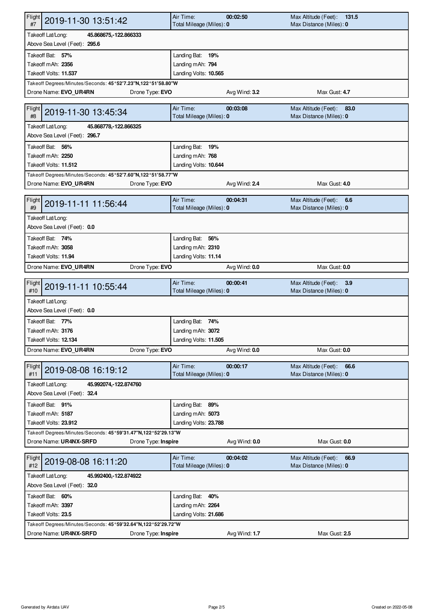| Flight<br>2019-11-30 13:51:42<br>#7                                                                      | Air Time:<br>Total Mileage (Miles): 0 | 00:02:50      | Max Altitude (Feet):<br>131.5<br>Max Distance (Miles): 0 |  |  |
|----------------------------------------------------------------------------------------------------------|---------------------------------------|---------------|----------------------------------------------------------|--|--|
| Takeoff Lat/Long:<br>45.868675, 122.866333<br>Above Sea Level (Feet): 295.6                              |                                       |               |                                                          |  |  |
| Takeoff Bat: 57%                                                                                         | Landing Bat: 19%                      |               |                                                          |  |  |
| Takeoff mAh: 2356                                                                                        | Landing mAh: 794                      |               |                                                          |  |  |
| Takeoff Volts: 11.537                                                                                    | Landing Volts: 10.565                 |               |                                                          |  |  |
|                                                                                                          |                                       |               |                                                          |  |  |
| Takeoff Degrees/Minutes/Seconds: 45°52'7.23"N,122°51'58.80"W<br>Drone Name: EVO_UR4RN<br>Drone Type: EVO |                                       | Avg Wind: 3.2 | Max Gust: 4.7                                            |  |  |
|                                                                                                          |                                       |               |                                                          |  |  |
| <b>Flight</b><br>2019-11-30 13:45:34<br>#8                                                               | Air Time:<br>Total Mileage (Miles): 0 | 00:03:08      | Max Altitude (Feet):<br>83.0<br>Max Distance (Miles): 0  |  |  |
| Takeoff Lat/Long:<br>45.868778, 122.866325<br>Above Sea Level (Feet): 296.7                              |                                       |               |                                                          |  |  |
| Takeoff Bat: 56%                                                                                         | Landing Bat: 19%                      |               |                                                          |  |  |
| Takeoff mAh: 2250                                                                                        | Landing mAh: 768                      |               |                                                          |  |  |
| Takeoff Volts: 11.512                                                                                    | Landing Volts: 10.644                 |               |                                                          |  |  |
| Takeoff Degrees/Minutes/Seconds: 45°52'7.60"N,122°51'58.77"W                                             |                                       |               |                                                          |  |  |
| Drone Name: EVO UR4RN<br>Drone Type: EVO                                                                 |                                       | Avg Wind: 2.4 | Max Gust: 4.0                                            |  |  |
| Flight<br>2019-11-11 11:56:44                                                                            | Air Time:                             | 00:04:31      | Max Altitude (Feet):<br>6.6                              |  |  |
| #9                                                                                                       | Total Mileage (Miles): 0              |               | Max Distance (Miles): 0                                  |  |  |
| Takeoff Lat/Long:                                                                                        |                                       |               |                                                          |  |  |
| Above Sea Level (Feet): 0.0                                                                              |                                       |               |                                                          |  |  |
| Takeoff Bat: 74%                                                                                         | Landing Bat: 56%                      |               |                                                          |  |  |
| Takeoff mAh: 3058                                                                                        | Landing mAh: 2310                     |               |                                                          |  |  |
| Takeoff Volts: 11.94                                                                                     | Landing Volts: 11.14                  |               |                                                          |  |  |
| Drone Type: EVO<br>Drone Name: EVO_UR4RN                                                                 |                                       | Avg Wind: 0.0 | Max Gust: 0.0                                            |  |  |
|                                                                                                          |                                       |               |                                                          |  |  |
|                                                                                                          |                                       |               |                                                          |  |  |
| Flight<br>2019-11-11 10:55:44<br>#10                                                                     | Air Time:<br>Total Mileage (Miles): 0 | 00:00:41      | Max Altitude (Feet):<br>3.9<br>Max Distance (Miles): 0   |  |  |
| Takeoff Lat/Long:                                                                                        |                                       |               |                                                          |  |  |
| Above Sea Level (Feet): 0.0                                                                              |                                       |               |                                                          |  |  |
| Takeoff Bat: 77%                                                                                         |                                       |               |                                                          |  |  |
|                                                                                                          | Landing Bat: 74%                      |               |                                                          |  |  |
| Takeoff mAh: 3176                                                                                        | Landing mAh: 3072                     |               |                                                          |  |  |
| Takeoff Volts: 12.134                                                                                    | Landing Volts: 11.505                 |               |                                                          |  |  |
| Drone Name: EVO UR4RN<br>Drone Type: EVO                                                                 |                                       | Avg Wind: 0.0 | Max Gust: 0.0                                            |  |  |
| Flight<br>2019-08-08 16:19:12<br>#11                                                                     | Air Time:<br>Total Mileage (Miles): 0 | 00:00:17      | Max Altitude (Feet):<br>66.6<br>Max Distance (Miles): 0  |  |  |
| Takeoff Lat/Long:<br>45.992074, -122.874760                                                              |                                       |               |                                                          |  |  |
| Above Sea Level (Feet): 32.4                                                                             |                                       |               |                                                          |  |  |
| Takeoff Bat: 91%                                                                                         | Landing Bat: 89%                      |               |                                                          |  |  |
| Takeoff mAh: 5187                                                                                        | Landing mAh: 5073                     |               |                                                          |  |  |
| Takeoff Volts: 23.912                                                                                    | Landing Volts: 23.788                 |               |                                                          |  |  |
| Takeoff Degrees/Minutes/Seconds: 45°59'31.47"N,122°52'29.13"W                                            |                                       |               |                                                          |  |  |
| Drone Name: UR4NX-SRFD<br>Drone Type: Inspire                                                            |                                       | Avg Wind: 0.0 | Max Gust: 0.0                                            |  |  |
| Flight<br>2019-08-08 16:11:20<br>#12                                                                     | Air Time:                             | 00:04:02      | Max Altitude (Feet):<br>66.9                             |  |  |
|                                                                                                          | Total Mileage (Miles): 0              |               | Max Distance (Miles): 0                                  |  |  |
| Takeoff Lat/Long:<br>45.992400, 122.874922<br>Above Sea Level (Feet): 32.0                               |                                       |               |                                                          |  |  |
| Takeoff Bat: 60%                                                                                         | Landing Bat: 40%                      |               |                                                          |  |  |
| Takeoff mAh: 3397                                                                                        | Landing mAh: 2264                     |               |                                                          |  |  |
| Takeoff Volts: 23.5                                                                                      | Landing Volts: 21.686                 |               |                                                          |  |  |
| Takeoff Degrees/Minutes/Seconds: 45°59'32.64"N,122°52'29.72"W                                            |                                       |               |                                                          |  |  |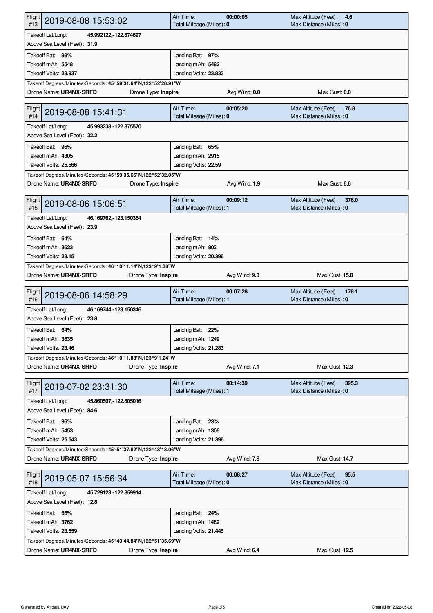| Flight<br>2019-08-08 15:53:02<br>#13                                                              | Air Time:<br>Total Mileage (Miles): 0                         | 00:00:05      | Max Altitude (Feet):<br>4.6<br>Max Distance (Miles): 0   |  |  |
|---------------------------------------------------------------------------------------------------|---------------------------------------------------------------|---------------|----------------------------------------------------------|--|--|
| Takeoff Lat/Long:<br>45.992122, 122.874697                                                        |                                                               |               |                                                          |  |  |
| Above Sea Level (Feet): 31.9                                                                      |                                                               |               |                                                          |  |  |
| Takeoff Bat: 98%                                                                                  | Landing Bat: 97%                                              |               |                                                          |  |  |
| Takeoff mAh: 5548                                                                                 | Landing mAh: 5492                                             |               |                                                          |  |  |
| Takeoff Volts: 23.937                                                                             | Landing Volts: 23.833                                         |               |                                                          |  |  |
|                                                                                                   | Takeoff Degrees/Minutes/Seconds: 45°59'31.64"N,122°52'28.91"W |               |                                                          |  |  |
| Drone Name: UR4NX-SRFD<br>Drone Type: Inspire                                                     |                                                               | Avg Wind: 0.0 | Max Gust: 0.0                                            |  |  |
| Flight<br>2019-08-08 15:41:31<br>#14                                                              | Air Time:                                                     | 00:05:20      | Max Altitude (Feet):<br>76.8                             |  |  |
| Total Mileage (Miles): 0<br>Max Distance (Miles): 0<br>Takeoff Lat/Long:<br>45.993238, 122.875570 |                                                               |               |                                                          |  |  |
| Above Sea Level (Feet): 32.2                                                                      |                                                               |               |                                                          |  |  |
| Takeoff Bat: 96%                                                                                  | Landing Bat: 65%                                              |               |                                                          |  |  |
| Takeoff mAh: 4305                                                                                 | Landing mAh: 2915                                             |               |                                                          |  |  |
| Takeoff Volts: 25.566                                                                             | Landing Volts: 22.59                                          |               |                                                          |  |  |
| Takeoff Degrees/Minutes/Seconds: 45°59'35.66"N,122°52'32.05"W                                     |                                                               |               |                                                          |  |  |
| Drone Name: UR4NX-SRFD<br>Drone Type: Inspire                                                     |                                                               | Avg Wind: 1.9 | Max Gust: 6.6                                            |  |  |
|                                                                                                   |                                                               |               |                                                          |  |  |
| Flight<br>2019-08-06 15:06:51<br>#15                                                              | Air Time:<br>Total Mileage (Miles): 1                         | 00:09:12      | Max Altitude (Feet):<br>376.0<br>Max Distance (Miles): 0 |  |  |
| Takeoff Lat/Long:<br>46.169762, 123.150384                                                        |                                                               |               |                                                          |  |  |
| Above Sea Level (Feet): 23.9                                                                      |                                                               |               |                                                          |  |  |
| Takeoff Bat: 64%                                                                                  | Landing Bat: 14%                                              |               |                                                          |  |  |
| Takeoff mAh: 3623                                                                                 | Landing mAh: 802                                              |               |                                                          |  |  |
| Takeoff Volts: 23.15                                                                              | Landing Volts: 20.396                                         |               |                                                          |  |  |
| Takeoff Degrees/Minutes/Seconds: 46°10'11.14"N,123°9'1.38"W                                       |                                                               |               |                                                          |  |  |
| Drone Name: UR4NX-SRFD<br>Drone Type: Inspire                                                     |                                                               | Avg Wind: 9.3 | Max Gust: 15.0                                           |  |  |
|                                                                                                   |                                                               |               |                                                          |  |  |
| Flight<br>2019-08-06 14:58:29                                                                     | Air Time:                                                     | 00:07:28      | Max Altitude (Feet):<br>178.1                            |  |  |
| #16                                                                                               | Total Mileage (Miles): 1                                      |               | Max Distance (Miles): 0                                  |  |  |
| Takeoff Lat/Long:<br>46.169744, 123.150346                                                        |                                                               |               |                                                          |  |  |
| Above Sea Level (Feet): 23.8                                                                      |                                                               |               |                                                          |  |  |
| Takeoff Bat: 64%                                                                                  | Landing Bat: 22%                                              |               |                                                          |  |  |
| Takeoff mAh: 3635                                                                                 | Landing mAh: 1249                                             |               |                                                          |  |  |
| Takeoff Volts: 23.46                                                                              | Landing Volts: 21.283                                         |               |                                                          |  |  |
| Takeoff Degrees/Minutes/Seconds: 46°10'11.08"N,123°9'1.24"W<br>Drone Name: UR4NX-SRFD             |                                                               |               | Max Gust: 12.3                                           |  |  |
| Drone Type: Inspire                                                                               |                                                               | Avg Wind: 7.1 |                                                          |  |  |
| Flight<br>2019-07-02 23:31:30<br>#17                                                              | Air Time:<br>Total Mileage (Miles): 1                         | 00:14:39      | Max Altitude (Feet):<br>395.3<br>Max Distance (Miles): 0 |  |  |
|                                                                                                   |                                                               |               |                                                          |  |  |
| Takeoff Lat/Long:<br>45.860507, 122.805016<br>Above Sea Level (Feet): 84.6                        |                                                               |               |                                                          |  |  |
| Takeoff Bat: 96%                                                                                  |                                                               |               |                                                          |  |  |
| Takeoff mAh: 5453                                                                                 | Landing Bat: 23%<br>Landing mAh: 1306                         |               |                                                          |  |  |
| Takeoff Volts: 25.543                                                                             | Landing Volts: 21.396                                         |               |                                                          |  |  |
| Takeoff Degrees/Minutes/Seconds: 45°51'37.82"N,122°48'18.06"W                                     |                                                               |               |                                                          |  |  |
| Drone Name: UR4NX-SRFD<br>Drone Type: Inspire                                                     |                                                               | Avg Wind: 7.8 | Max Gust: 14.7                                           |  |  |
|                                                                                                   |                                                               |               |                                                          |  |  |
| Flight<br>2019-05-07 15:56:34<br>#18                                                              | Air Time:<br>Total Mileage (Miles): 0                         | 00:08:27      | Max Altitude (Feet):<br>95.5<br>Max Distance (Miles): 0  |  |  |
| Takeoff Lat/Long:<br>45.729123, 122.859914                                                        |                                                               |               |                                                          |  |  |
| Above Sea Level (Feet): 12.8                                                                      |                                                               |               |                                                          |  |  |
| Takeoff Bat: 66%                                                                                  | Landing Bat: 24%                                              |               |                                                          |  |  |
| Takeoff mAh: 3762                                                                                 | Landing mAh: 1482                                             |               |                                                          |  |  |
| Takeoff Volts: 23.659                                                                             | Landing Volts: 21.445                                         |               |                                                          |  |  |
| Takeoff Degrees/Minutes/Seconds: 45°43'44.84"N,122°51'35.69"W                                     |                                                               |               |                                                          |  |  |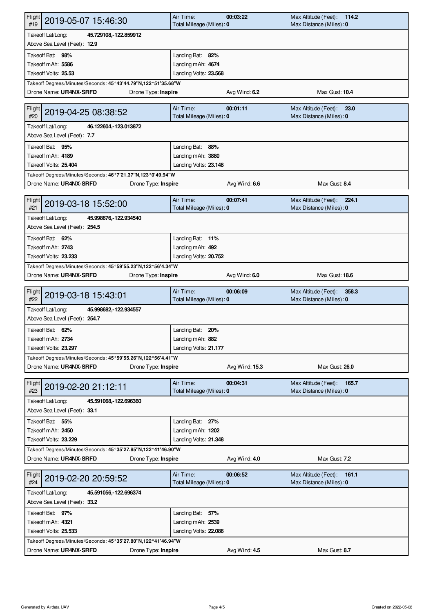| Flight<br>2019-05-07 15:46:30<br>#19                                                    |                     | Air Time:<br>Total Mileage (Miles): 0 | 00:03:22       | Max Altitude (Feet):<br>114.2<br>Max Distance (Miles): 0 |
|-----------------------------------------------------------------------------------------|---------------------|---------------------------------------|----------------|----------------------------------------------------------|
| Takeoff Lat/Long:<br>45.729108, 122.859912                                              |                     |                                       |                |                                                          |
| Above Sea Level (Feet): 12.9                                                            |                     |                                       |                |                                                          |
| Takeoff Bat: 98%                                                                        |                     | Landing Bat: 82%                      |                |                                                          |
| Takeoff mAh: 5586                                                                       |                     | Landing mAh: 4674                     |                |                                                          |
| Takeoff Volts: 25.53                                                                    |                     | Landing Volts: 23.568                 |                |                                                          |
| Takeoff Degrees/Minutes/Seconds: 45°43'44.79"N,122°51'35.68"W<br>Drone Name: UR4NX-SRFD | Drone Type: Inspire |                                       | Avg Wind: 6.2  | Max Gust: 10.4                                           |
|                                                                                         |                     |                                       |                |                                                          |
| <b>Flight</b><br>2019-04-25 08:38:52<br>#20                                             |                     | Air Time:<br>Total Mileage (Miles): 0 | 00:01:11       | Max Altitude (Feet):<br>23.0<br>Max Distance (Miles): 0  |
| Takeoff Lat/Long:<br>46.122604, 123.013872<br>Above Sea Level (Feet): 7.7               |                     |                                       |                |                                                          |
| Takeoff Bat: 95%                                                                        |                     | Landing Bat: 88%                      |                |                                                          |
| Takeoff mAh: 4189                                                                       |                     | Landing mAh: 3880                     |                |                                                          |
| Takeoff Volts: 25.404                                                                   |                     | Landing Volts: 23.148                 |                |                                                          |
|                                                                                         |                     |                                       |                |                                                          |
| Takeoff Degrees/Minutes/Seconds: 46°7'21.37"N,123°0'49.94"W                             |                     |                                       |                |                                                          |
| Drone Name: UR4NX-SRFD                                                                  | Drone Type: Inspire |                                       | Avg Wind: 6.6  | Max Gust: 8.4                                            |
| Flight<br>2019-03-18 15:52:00<br>#21                                                    |                     | Air Time:<br>Total Mileage (Miles): 0 | 00:07:41       | Max Altitude (Feet):<br>224.1<br>Max Distance (Miles): 0 |
| Takeoff Lat/Long:<br>45.998676, 122.934540                                              |                     |                                       |                |                                                          |
| Above Sea Level (Feet): 254.5                                                           |                     |                                       |                |                                                          |
| Takeoff Bat: 62%                                                                        |                     | Landing Bat: 11%                      |                |                                                          |
| Takeoff mAh: 2743                                                                       |                     | Landing mAh: 492                      |                |                                                          |
| Takeoff Volts: 23.233                                                                   |                     | Landing Volts: 20.752                 |                |                                                          |
| Takeoff Degrees/Minutes/Seconds: 45°59'55.23"N,122°56'4.34"W                            |                     |                                       |                |                                                          |
| Drone Name: UR4NX-SRFD                                                                  | Drone Type: Inspire |                                       | Avg Wind: 6.0  | Max Gust: 18.6                                           |
|                                                                                         |                     |                                       |                |                                                          |
|                                                                                         |                     |                                       |                |                                                          |
| Flight<br>2019-03-18 15:43:01<br>#22                                                    |                     | Air Time:<br>Total Mileage (Miles): 0 | 00:06:09       | Max Altitude (Feet):<br>358.3<br>Max Distance (Miles): 0 |
| Takeoff Lat/Long:<br>45.998682, 122.934557                                              |                     |                                       |                |                                                          |
| Above Sea Level (Feet): 254.7                                                           |                     |                                       |                |                                                          |
| Takeoff Bat: 62%                                                                        |                     | Landing Bat: 20%                      |                |                                                          |
| Takeoff mAh: 2734                                                                       |                     | Landing mAh: 882                      |                |                                                          |
| Takeoff Volts: 23.297                                                                   |                     | Landing Volts: 21.177                 |                |                                                          |
| Takeoff Degrees/Minutes/Seconds: 45°59'55.26"N,122°56'4.41"W                            |                     |                                       |                |                                                          |
| Drone Name: UR4NX-SRFD                                                                  | Drone Type: Inspire |                                       | Avg Wind: 15.3 | Max Gust: 26.0                                           |
| Flight<br>2019-02-20 21:12:11<br>#23                                                    |                     | Air Time:<br>Total Mileage (Miles): 0 | 00:04:31       | Max Altitude (Feet):<br>165.7<br>Max Distance (Miles): 0 |
|                                                                                         |                     |                                       |                |                                                          |
| Takeoff Lat/Long:<br>45.591068, -122.696360<br>Above Sea Level (Feet): 33.1             |                     |                                       |                |                                                          |
|                                                                                         |                     |                                       |                |                                                          |
| Takeoff Bat: 55%                                                                        |                     | Landing Bat: 27%                      |                |                                                          |
| Takeoff mAh: 2450                                                                       |                     | Landing mAh: 1202                     |                |                                                          |
| Takeoff Volts: 23.229                                                                   |                     | Landing Volts: 21.348                 |                |                                                          |
| Takeoff Degrees/Minutes/Seconds: 45°35'27.85"N,122°41'46.90"W                           |                     |                                       |                |                                                          |
| Drone Name: UR4NX-SRFD                                                                  | Drone Type: Inspire |                                       | Avg Wind: 4.0  | Max Gust: 7.2                                            |
| Flight<br>2019-02-20 20:59:52<br>#24                                                    |                     | Air Time:<br>Total Mileage (Miles): 0 | 00:06:52       | Max Altitude (Feet):<br>161.1<br>Max Distance (Miles): 0 |
| Takeoff Lat/Long:<br>45.591056, 122.696374                                              |                     |                                       |                |                                                          |
| Above Sea Level (Feet): 33.2                                                            |                     |                                       |                |                                                          |
| Takeoff Bat: 97%                                                                        |                     | Landing Bat: 57%                      |                |                                                          |
| Takeoff mAh: 4321                                                                       |                     | Landing mAh: 2539                     |                |                                                          |
| Takeoff Volts: 25.533                                                                   |                     | Landing Volts: 22.086                 |                |                                                          |
| Takeoff Degrees/Minutes/Seconds: 45°35'27.80"N,122°41'46.94"W<br>Drone Name: UR4NX-SRFD | Drone Type: Inspire |                                       | Avg Wind: 4.5  | Max Gust: 8.7                                            |